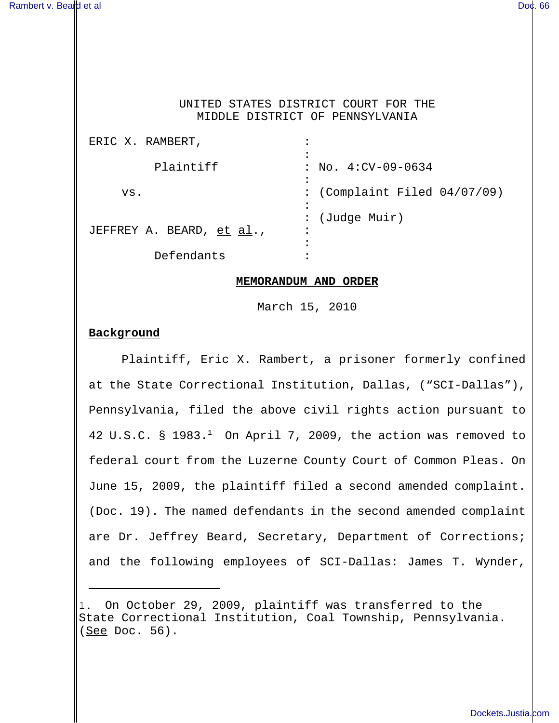### UNITED STATES DISTRICT COURT FOR THE MIDDLE DISTRICT OF PENNSYLVANIA

| ERIC X. RAMBERT,          | ٠                                    |
|---------------------------|--------------------------------------|
|                           |                                      |
| Plaintiff                 | $: No. 4:CV-09-0634$                 |
|                           |                                      |
| VS.                       | : (Complaint Filed $04/07/09$ )      |
|                           |                                      |
|                           | (Judge Muir)<br>$\ddot{\phantom{0}}$ |
| JEFFREY A. BEARD, et al., | $\bullet$                            |
|                           | ٠                                    |
| Defendants                |                                      |

#### **MEMORANDUM AND ORDER**

March 15, 2010

## **Background**

Plaintiff, Eric X. Rambert, a prisoner formerly confined at the State Correctional Institution, Dallas, ("SCI-Dallas"), Pennsylvania, filed the above civil rights action pursuant to 42 U.S.C. § 1983. $<sup>1</sup>$  On April 7, 2009, the action was removed to</sup> federal court from the Luzerne County Court of Common Pleas. On June 15, 2009, the plaintiff filed a second amended complaint. (Doc. 19). The named defendants in the second amended complaint are Dr. Jeffrey Beard, Secretary, Department of Corrections; and the following employees of SCI-Dallas: James T. Wynder,

<sup>1.</sup> On October 29, 2009, plaintiff was transferred to the State Correctional Institution, Coal Township, Pennsylvania. (See Doc. 56).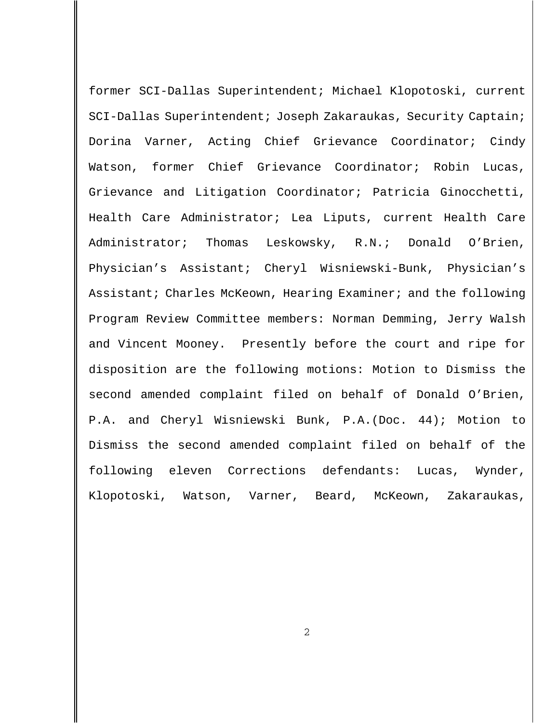former SCI-Dallas Superintendent; Michael Klopotoski, current SCI-Dallas Superintendent; Joseph Zakaraukas, Security Captain; Dorina Varner, Acting Chief Grievance Coordinator; Cindy Watson, former Chief Grievance Coordinator; Robin Lucas, Grievance and Litigation Coordinator; Patricia Ginocchetti, Health Care Administrator; Lea Liputs, current Health Care Administrator; Thomas Leskowsky, R.N.; Donald O'Brien, Physician's Assistant; Cheryl Wisniewski-Bunk, Physician's Assistant; Charles McKeown, Hearing Examiner; and the following Program Review Committee members: Norman Demming, Jerry Walsh and Vincent Mooney. Presently before the court and ripe for disposition are the following motions: Motion to Dismiss the second amended complaint filed on behalf of Donald O'Brien, P.A. and Cheryl Wisniewski Bunk, P.A.(Doc. 44); Motion to Dismiss the second amended complaint filed on behalf of the following eleven Corrections defendants: Lucas, Wynder, Klopotoski, Watson, Varner, Beard, McKeown, Zakaraukas,

2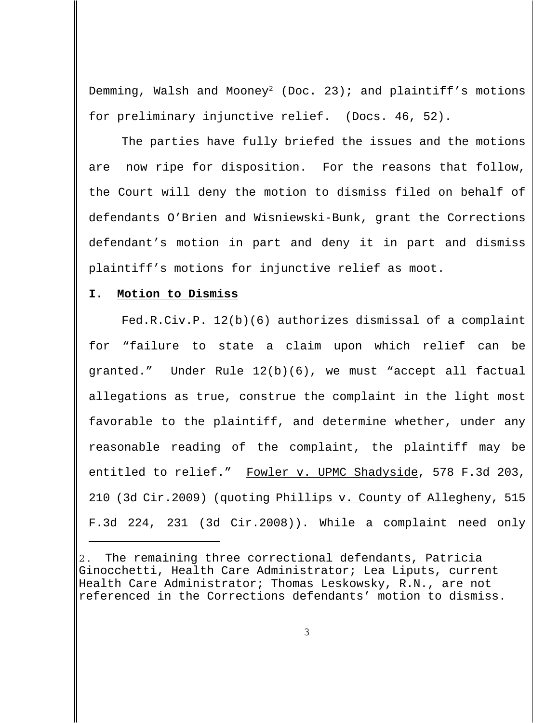Demming, Walsh and Mooney<sup>2</sup> (Doc. 23); and plaintiff's motions for preliminary injunctive relief. (Docs. 46, 52).

The parties have fully briefed the issues and the motions are now ripe for disposition. For the reasons that follow, the Court will deny the motion to dismiss filed on behalf of defendants O'Brien and Wisniewski-Bunk, grant the Corrections defendant's motion in part and deny it in part and dismiss plaintiff's motions for injunctive relief as moot.

### **I. Motion to Dismiss**

Fed.R.Civ.P. 12(b)(6) authorizes dismissal of a complaint for "failure to state a claim upon which relief can be granted." Under Rule 12(b)(6), we must "accept all factual allegations as true, construe the complaint in the light most favorable to the plaintiff, and determine whether, under any reasonable reading of the complaint, the plaintiff may be entitled to relief." Fowler v. UPMC Shadyside, 578 F.3d 203, 210 (3d Cir.2009) (quoting Phillips v. County of Allegheny, 515 F.3d 224, 231 (3d Cir.2008)). While a complaint need only

The remaining three correctional defendants, Patricia Ginocchetti, Health Care Administrator; Lea Liputs, current Health Care Administrator; Thomas Leskowsky, R.N., are not referenced in the Corrections defendants' motion to dismiss.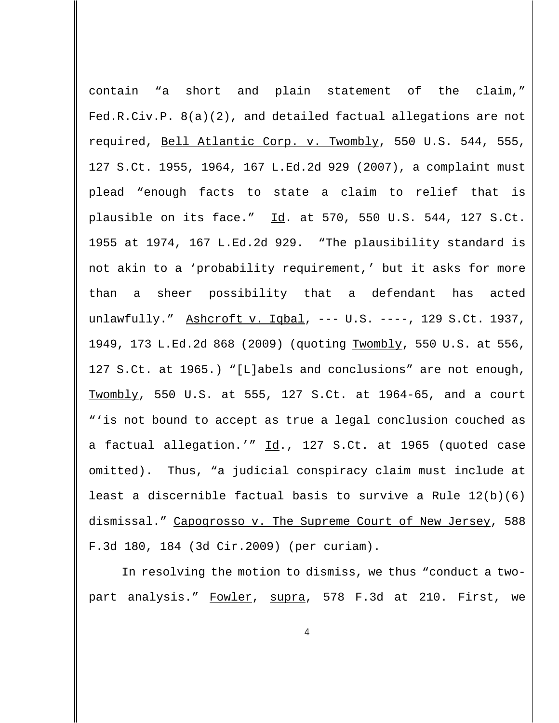contain "a short and plain statement of the claim," Fed.R.Civ.P. 8(a)(2), and detailed factual allegations are not required, Bell Atlantic Corp. v. Twombly, 550 U.S. 544, 555, 127 S.Ct. 1955, 1964, 167 L.Ed.2d 929 (2007), a complaint must plead "enough facts to state a claim to relief that is plausible on its face." Id. at 570, 550 U.S. 544, 127 S.Ct. 1955 at 1974, 167 L.Ed.2d 929. "The plausibility standard is not akin to a 'probability requirement,' but it asks for more than a sheer possibility that a defendant has acted unlawfully." Ashcroft v. Iqbal, --- U.S. ----, 129 S.Ct. 1937, 1949, 173 L.Ed.2d 868 (2009) (quoting Twombly, 550 U.S. at 556, 127 S.Ct. at 1965.) "[L]abels and conclusions" are not enough, Twombly, 550 U.S. at 555, 127 S.Ct. at 1964-65, and a court "'is not bound to accept as true a legal conclusion couched as a factual allegation.'" Id., 127 S.Ct. at 1965 (quoted case omitted). Thus, "a judicial conspiracy claim must include at least a discernible factual basis to survive a Rule 12(b)(6) dismissal." Capogrosso v. The Supreme Court of New Jersey, 588 F.3d 180, 184 (3d Cir.2009) (per curiam).

In resolving the motion to dismiss, we thus "conduct a twopart analysis." Fowler, supra, 578 F.3d at 210. First, we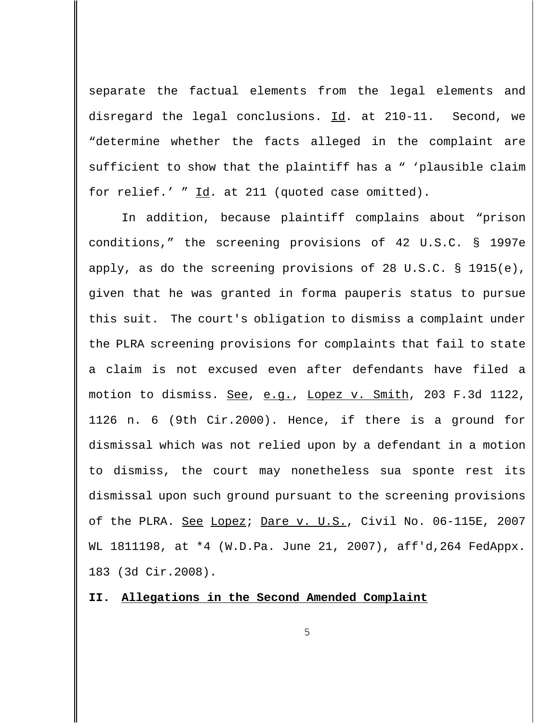separate the factual elements from the legal elements and disregard the legal conclusions. Id. at 210-11. Second, we "determine whether the facts alleged in the complaint are sufficient to show that the plaintiff has a " 'plausible claim for relief.' " Id. at 211 (quoted case omitted).

In addition, because plaintiff complains about "prison conditions," the screening provisions of 42 U.S.C. § 1997e apply, as do the screening provisions of 28 U.S.C. § 1915(e), given that he was granted in forma pauperis status to pursue this suit. The court's obligation to dismiss a complaint under the PLRA screening provisions for complaints that fail to state a claim is not excused even after defendants have filed a motion to dismiss. See, e.g., Lopez v. Smith, 203 F.3d 1122, 1126 n. 6 (9th Cir.2000). Hence, if there is a ground for dismissal which was not relied upon by a defendant in a motion to dismiss, the court may nonetheless sua sponte rest its dismissal upon such ground pursuant to the screening provisions of the PLRA. See Lopez; Dare v. U.S., Civil No. 06-115E, 2007 WL 1811198, at \*4 (W.D.Pa. June 21, 2007), aff'd,264 FedAppx. 183 (3d Cir.2008).

**II. Allegations in the Second Amended Complaint**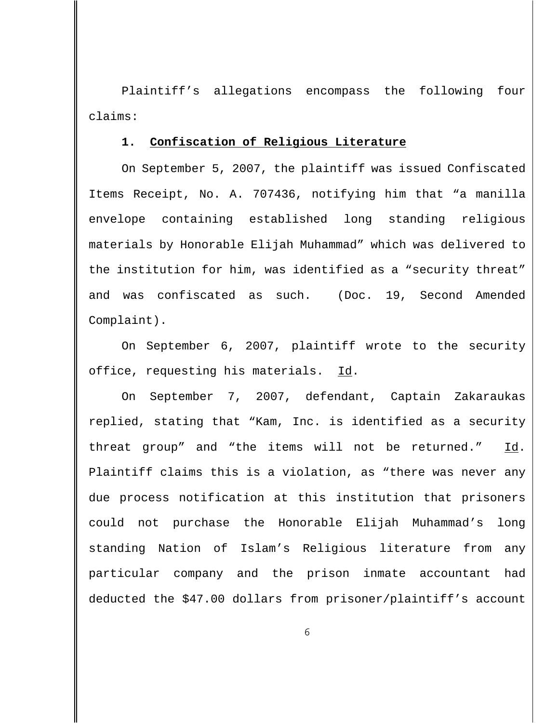Plaintiff's allegations encompass the following four claims:

#### **1. Confiscation of Religious Literature**

On September 5, 2007, the plaintiff was issued Confiscated Items Receipt, No. A. 707436, notifying him that "a manilla envelope containing established long standing religious materials by Honorable Elijah Muhammad" which was delivered to the institution for him, was identified as a "security threat" and was confiscated as such. (Doc. 19, Second Amended Complaint).

On September 6, 2007, plaintiff wrote to the security office, requesting his materials. Id.

On September 7, 2007, defendant, Captain Zakaraukas replied, stating that "Kam, Inc. is identified as a security threat group" and "the items will not be returned." Id. Plaintiff claims this is a violation, as "there was never any due process notification at this institution that prisoners could not purchase the Honorable Elijah Muhammad's long standing Nation of Islam's Religious literature from any particular company and the prison inmate accountant had deducted the \$47.00 dollars from prisoner/plaintiff's account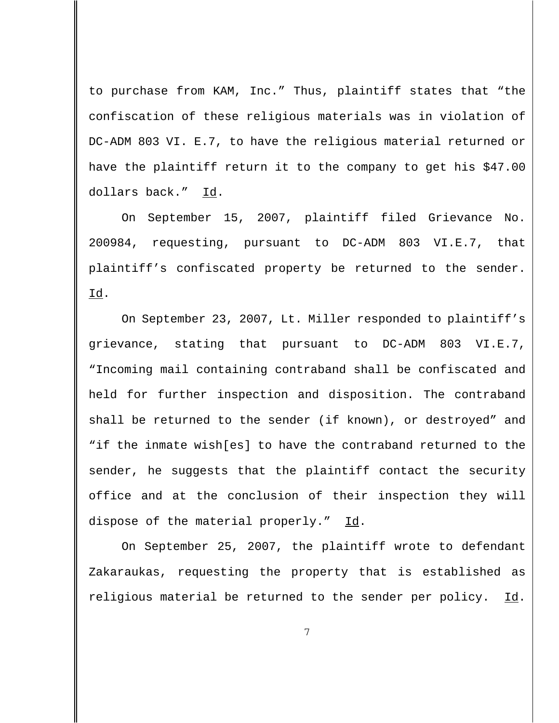to purchase from KAM, Inc." Thus, plaintiff states that "the confiscation of these religious materials was in violation of DC-ADM 803 VI. E.7, to have the religious material returned or have the plaintiff return it to the company to get his \$47.00 dollars back." Id.

On September 15, 2007, plaintiff filed Grievance No. 200984, requesting, pursuant to DC-ADM 803 VI.E.7, that plaintiff's confiscated property be returned to the sender.  $Id.$ 

On September 23, 2007, Lt. Miller responded to plaintiff's grievance, stating that pursuant to DC-ADM 803 VI.E.7, "Incoming mail containing contraband shall be confiscated and held for further inspection and disposition. The contraband shall be returned to the sender (if known), or destroyed" and "if the inmate wish[es] to have the contraband returned to the sender, he suggests that the plaintiff contact the security office and at the conclusion of their inspection they will dispose of the material properly." Id.

On September 25, 2007, the plaintiff wrote to defendant Zakaraukas, requesting the property that is established as religious material be returned to the sender per policy. Id.

7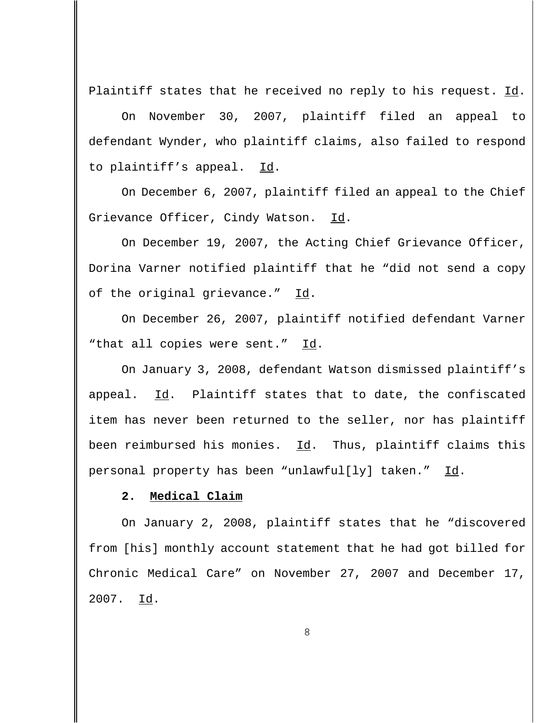Plaintiff states that he received no reply to his request. Id.

On November 30, 2007, plaintiff filed an appeal to defendant Wynder, who plaintiff claims, also failed to respond to plaintiff's appeal. Id.

On December 6, 2007, plaintiff filed an appeal to the Chief Grievance Officer, Cindy Watson. Id.

On December 19, 2007, the Acting Chief Grievance Officer, Dorina Varner notified plaintiff that he "did not send a copy of the original grievance." Id.

On December 26, 2007, plaintiff notified defendant Varner "that all copies were sent." Id.

On January 3, 2008, defendant Watson dismissed plaintiff's appeal. Id. Plaintiff states that to date, the confiscated item has never been returned to the seller, nor has plaintiff been reimbursed his monies. Id. Thus, plaintiff claims this personal property has been "unlawful[ly] taken." Id.

### **2. Medical Claim**

On January 2, 2008, plaintiff states that he "discovered from [his] monthly account statement that he had got billed for Chronic Medical Care" on November 27, 2007 and December 17, 2007. Id.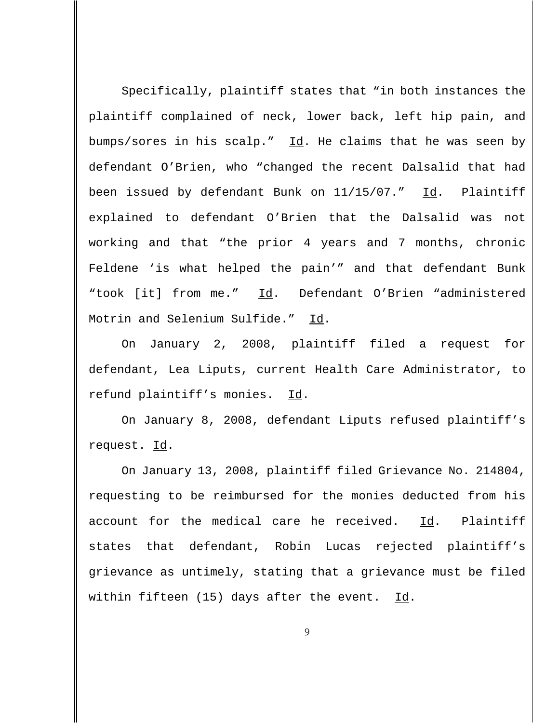Specifically, plaintiff states that "in both instances the plaintiff complained of neck, lower back, left hip pain, and bumps/sores in his scalp." Id. He claims that he was seen by defendant O'Brien, who "changed the recent Dalsalid that had been issued by defendant Bunk on 11/15/07." Id. Plaintiff explained to defendant O'Brien that the Dalsalid was not working and that "the prior 4 years and 7 months, chronic Feldene 'is what helped the pain'" and that defendant Bunk "took [it] from me." Id. Defendant O'Brien "administered Motrin and Selenium Sulfide." Id.

On January 2, 2008, plaintiff filed a request for defendant, Lea Liputs, current Health Care Administrator, to refund plaintiff's monies. Id.

On January 8, 2008, defendant Liputs refused plaintiff's request. Id.

On January 13, 2008, plaintiff filed Grievance No. 214804, requesting to be reimbursed for the monies deducted from his account for the medical care he received.  $\underline{Id}$ . Plaintiff states that defendant, Robin Lucas rejected plaintiff's grievance as untimely, stating that a grievance must be filed within fifteen  $(15)$  days after the event. Id.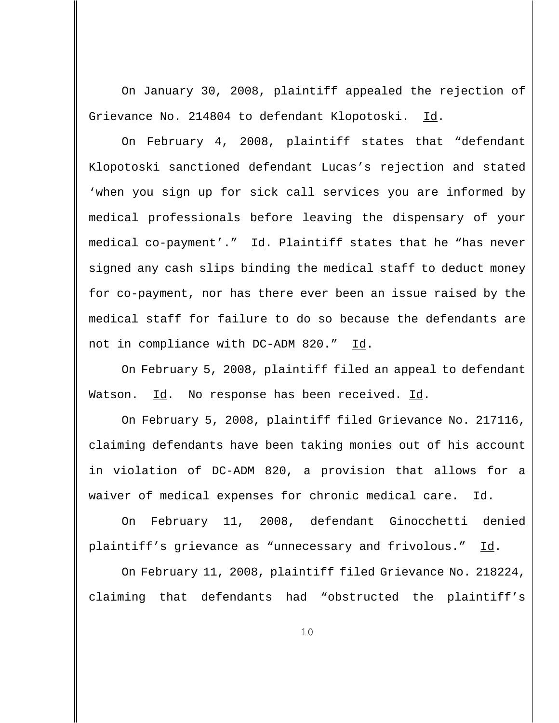On January 30, 2008, plaintiff appealed the rejection of Grievance No. 214804 to defendant Klopotoski. Id.

On February 4, 2008, plaintiff states that "defendant Klopotoski sanctioned defendant Lucas's rejection and stated 'when you sign up for sick call services you are informed by medical professionals before leaving the dispensary of your medical co-payment'." Id. Plaintiff states that he "has never signed any cash slips binding the medical staff to deduct money for co-payment, nor has there ever been an issue raised by the medical staff for failure to do so because the defendants are not in compliance with DC-ADM 820." Id.

On February 5, 2008, plaintiff filed an appeal to defendant Watson. Id. No response has been received. Id.

On February 5, 2008, plaintiff filed Grievance No. 217116, claiming defendants have been taking monies out of his account in violation of DC-ADM 820, a provision that allows for a waiver of medical expenses for chronic medical care. Id.

On February 11, 2008, defendant Ginocchetti denied plaintiff's grievance as "unnecessary and frivolous." Id.

On February 11, 2008, plaintiff filed Grievance No. 218224, claiming that defendants had "obstructed the plaintiff's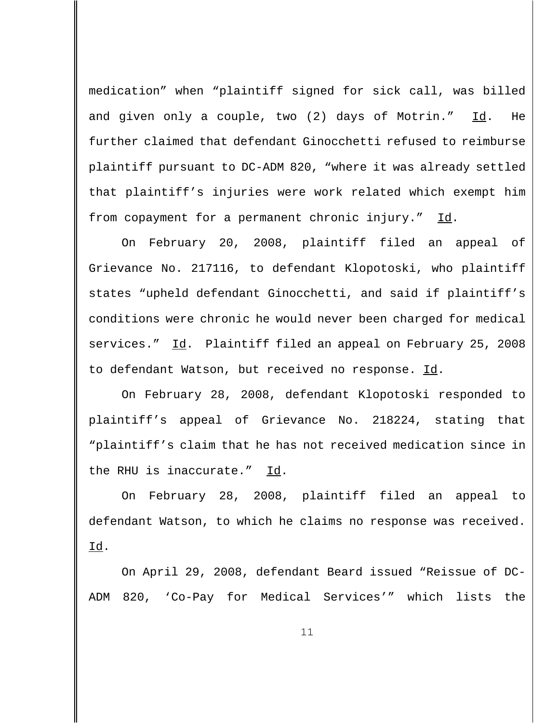medication" when "plaintiff signed for sick call, was billed and given only a couple, two (2) days of Motrin." Id. He further claimed that defendant Ginocchetti refused to reimburse plaintiff pursuant to DC-ADM 820, "where it was already settled that plaintiff's injuries were work related which exempt him from copayment for a permanent chronic injury." Id.

On February 20, 2008, plaintiff filed an appeal of Grievance No. 217116, to defendant Klopotoski, who plaintiff states "upheld defendant Ginocchetti, and said if plaintiff's conditions were chronic he would never been charged for medical services." Id. Plaintiff filed an appeal on February 25, 2008 to defendant Watson, but received no response. Id.

On February 28, 2008, defendant Klopotoski responded to plaintiff's appeal of Grievance No. 218224, stating that "plaintiff's claim that he has not received medication since in the RHU is inaccurate." Id.

On February 28, 2008, plaintiff filed an appeal to defendant Watson, to which he claims no response was received.  $Id.$ 

On April 29, 2008, defendant Beard issued "Reissue of DC-ADM 820, 'Co-Pay for Medical Services'" which lists the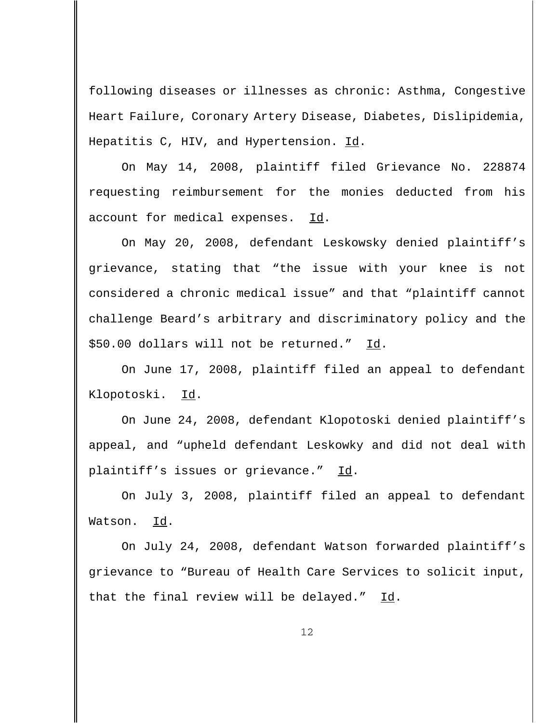following diseases or illnesses as chronic: Asthma, Congestive Heart Failure, Coronary Artery Disease, Diabetes, Dislipidemia, Hepatitis C, HIV, and Hypertension. Id.

On May 14, 2008, plaintiff filed Grievance No. 228874 requesting reimbursement for the monies deducted from his account for medical expenses. Id.

On May 20, 2008, defendant Leskowsky denied plaintiff's grievance, stating that "the issue with your knee is not considered a chronic medical issue" and that "plaintiff cannot challenge Beard's arbitrary and discriminatory policy and the \$50.00 dollars will not be returned." Id.

On June 17, 2008, plaintiff filed an appeal to defendant Klopotoski. Id.

On June 24, 2008, defendant Klopotoski denied plaintiff's appeal, and "upheld defendant Leskowky and did not deal with plaintiff's issues or grievance." Id.

On July 3, 2008, plaintiff filed an appeal to defendant Watson. Id.

On July 24, 2008, defendant Watson forwarded plaintiff's grievance to "Bureau of Health Care Services to solicit input, that the final review will be delayed."  $Id.$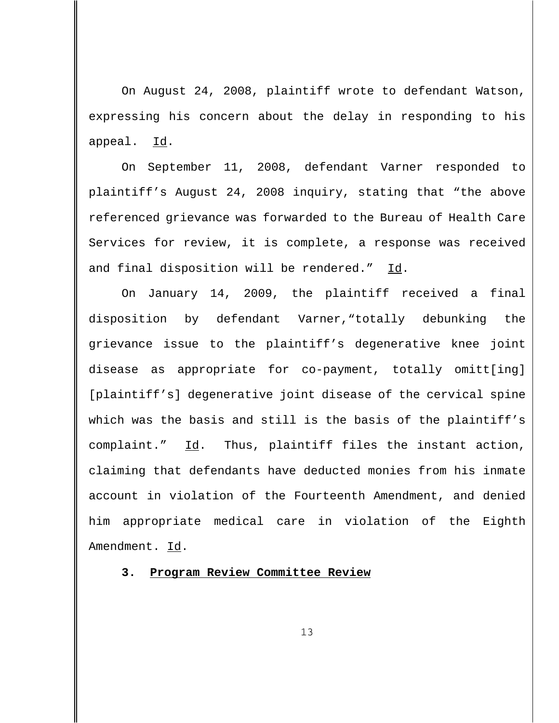On August 24, 2008, plaintiff wrote to defendant Watson, expressing his concern about the delay in responding to his appeal. Id.

On September 11, 2008, defendant Varner responded to plaintiff's August 24, 2008 inquiry, stating that "the above referenced grievance was forwarded to the Bureau of Health Care Services for review, it is complete, a response was received and final disposition will be rendered." Id.

On January 14, 2009, the plaintiff received a final disposition by defendant Varner,"totally debunking the grievance issue to the plaintiff's degenerative knee joint disease as appropriate for co-payment, totally omitt[ing] [plaintiff's] degenerative joint disease of the cervical spine which was the basis and still is the basis of the plaintiff's complaint." Id. Thus, plaintiff files the instant action, claiming that defendants have deducted monies from his inmate account in violation of the Fourteenth Amendment, and denied him appropriate medical care in violation of the Eighth Amendment. Id.

**3. Program Review Committee Review**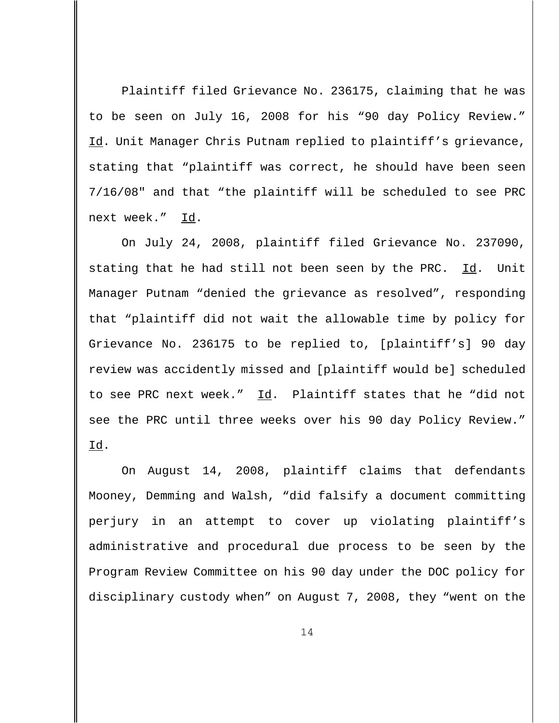Plaintiff filed Grievance No. 236175, claiming that he was to be seen on July 16, 2008 for his "90 day Policy Review." Id. Unit Manager Chris Putnam replied to plaintiff's grievance, stating that "plaintiff was correct, he should have been seen 7/16/08" and that "the plaintiff will be scheduled to see PRC next week." Id.

On July 24, 2008, plaintiff filed Grievance No. 237090, stating that he had still not been seen by the PRC.  $Id.$  Unit Manager Putnam "denied the grievance as resolved", responding that "plaintiff did not wait the allowable time by policy for Grievance No. 236175 to be replied to, [plaintiff's] 90 day review was accidently missed and [plaintiff would be] scheduled to see PRC next week."  $\underline{Id}$ . Plaintiff states that he "did not see the PRC until three weeks over his 90 day Policy Review." Id.

On August 14, 2008, plaintiff claims that defendants Mooney, Demming and Walsh, "did falsify a document committing perjury in an attempt to cover up violating plaintiff's administrative and procedural due process to be seen by the Program Review Committee on his 90 day under the DOC policy for disciplinary custody when" on August 7, 2008, they "went on the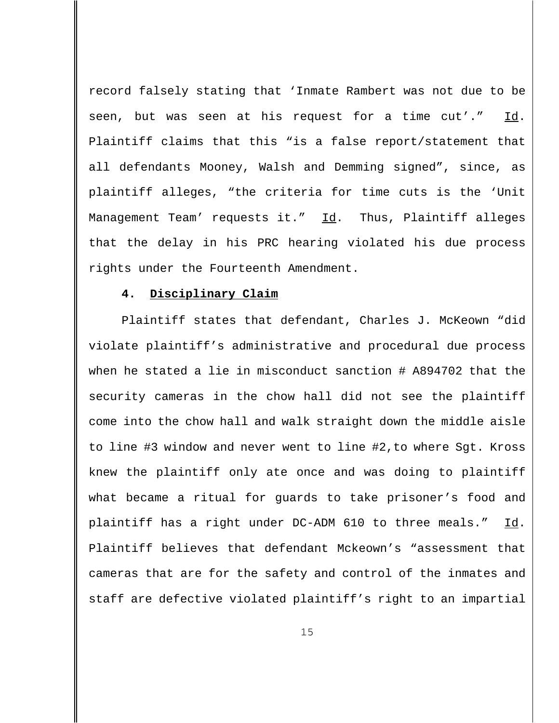record falsely stating that 'Inmate Rambert was not due to be seen, but was seen at his request for a time cut'." Id. Plaintiff claims that this "is a false report/statement that all defendants Mooney, Walsh and Demming signed", since, as plaintiff alleges, "the criteria for time cuts is the 'Unit Management Team' requests it." Id. Thus, Plaintiff alleges that the delay in his PRC hearing violated his due process rights under the Fourteenth Amendment.

#### **4. Disciplinary Claim**

Plaintiff states that defendant, Charles J. McKeown "did violate plaintiff's administrative and procedural due process when he stated a lie in misconduct sanction # A894702 that the security cameras in the chow hall did not see the plaintiff come into the chow hall and walk straight down the middle aisle to line #3 window and never went to line #2,to where Sgt. Kross knew the plaintiff only ate once and was doing to plaintiff what became a ritual for guards to take prisoner's food and plaintiff has a right under DC-ADM 610 to three meals." Id. Plaintiff believes that defendant Mckeown's "assessment that cameras that are for the safety and control of the inmates and staff are defective violated plaintiff's right to an impartial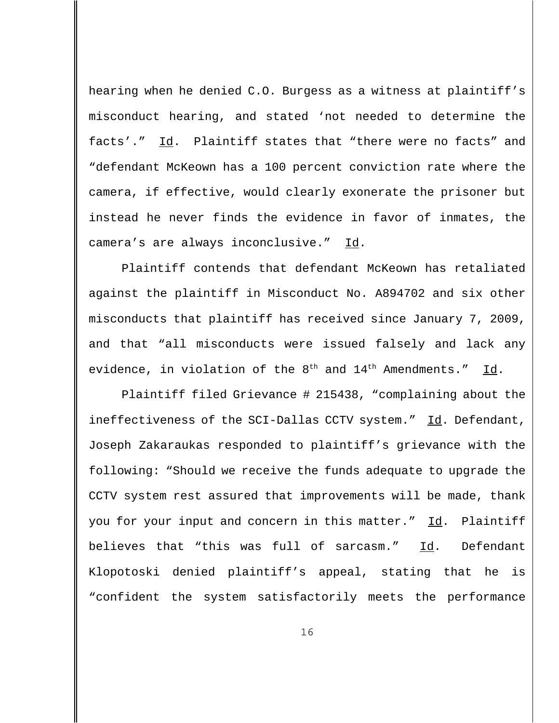hearing when he denied C.O. Burgess as a witness at plaintiff's misconduct hearing, and stated 'not needed to determine the facts'." Id. Plaintiff states that "there were no facts" and "defendant McKeown has a 100 percent conviction rate where the camera, if effective, would clearly exonerate the prisoner but instead he never finds the evidence in favor of inmates, the camera's are always inconclusive." Id.

Plaintiff contends that defendant McKeown has retaliated against the plaintiff in Misconduct No. A894702 and six other misconducts that plaintiff has received since January 7, 2009, and that "all misconducts were issued falsely and lack any evidence, in violation of the  $8<sup>th</sup>$  and  $14<sup>th</sup>$  Amendments." Id.

Plaintiff filed Grievance # 215438, "complaining about the ineffectiveness of the SCI-Dallas CCTV system." Id. Defendant, Joseph Zakaraukas responded to plaintiff's grievance with the following: "Should we receive the funds adequate to upgrade the CCTV system rest assured that improvements will be made, thank you for your input and concern in this matter." Id. Plaintiff believes that "this was full of sarcasm." Id. Defendant Klopotoski denied plaintiff's appeal, stating that he is "confident the system satisfactorily meets the performance

16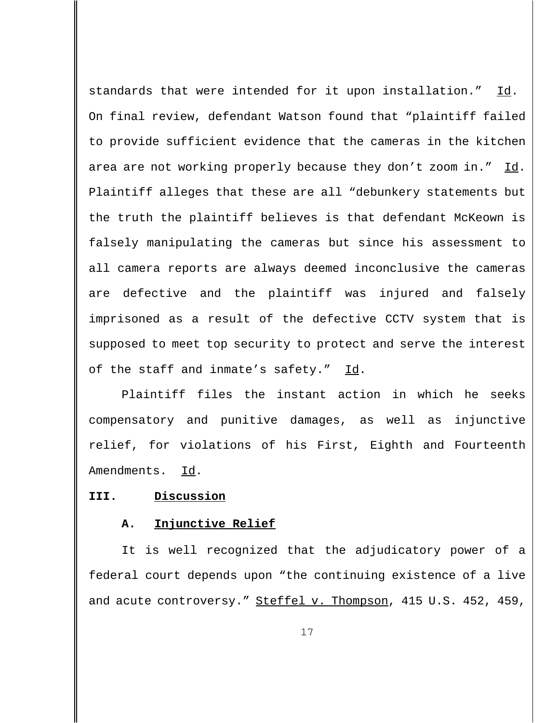standards that were intended for it upon installation." Id. On final review, defendant Watson found that "plaintiff failed to provide sufficient evidence that the cameras in the kitchen area are not working properly because they don't zoom in." Id. Plaintiff alleges that these are all "debunkery statements but the truth the plaintiff believes is that defendant McKeown is falsely manipulating the cameras but since his assessment to all camera reports are always deemed inconclusive the cameras are defective and the plaintiff was injured and falsely imprisoned as a result of the defective CCTV system that is supposed to meet top security to protect and serve the interest of the staff and inmate's safety."  $\underline{Id}$ .

Plaintiff files the instant action in which he seeks compensatory and punitive damages, as well as injunctive relief, for violations of his First, Eighth and Fourteenth Amendments. Id.

### **III. Discussion**

#### **A. Injunctive Relief**

It is well recognized that the adjudicatory power of a federal court depends upon "the continuing existence of a live and acute controversy." Steffel v. Thompson, 415 U.S. 452, 459,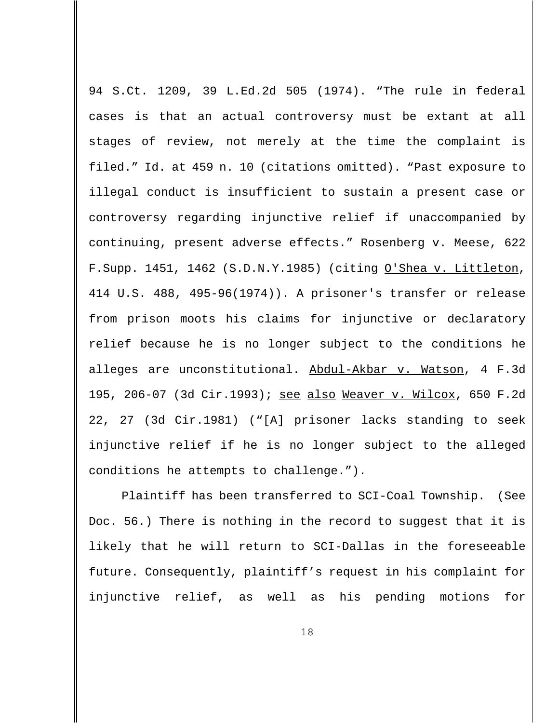94 S.Ct. 1209, 39 L.Ed.2d 505 (1974). "The rule in federal cases is that an actual controversy must be extant at all stages of review, not merely at the time the complaint is filed." Id. at 459 n. 10 (citations omitted). "Past exposure to illegal conduct is insufficient to sustain a present case or controversy regarding injunctive relief if unaccompanied by continuing, present adverse effects." Rosenberg v. Meese, 622 F. Supp. 1451, 1462 (S.D.N.Y.1985) (citing O'Shea v. Littleton, 414 U.S. 488, 495-96(1974)). A prisoner's transfer or release from prison moots his claims for injunctive or declaratory relief because he is no longer subject to the conditions he alleges are unconstitutional. Abdul-Akbar v. Watson, 4 F.3d 195, 206-07 (3d Cir.1993); see also Weaver v. Wilcox, 650 F.2d 22, 27 (3d Cir.1981) ("[A] prisoner lacks standing to seek injunctive relief if he is no longer subject to the alleged conditions he attempts to challenge.").

Plaintiff has been transferred to SCI-Coal Township. (See Doc. 56.) There is nothing in the record to suggest that it is likely that he will return to SCI-Dallas in the foreseeable future. Consequently, plaintiff's request in his complaint for injunctive relief, as well as his pending motions for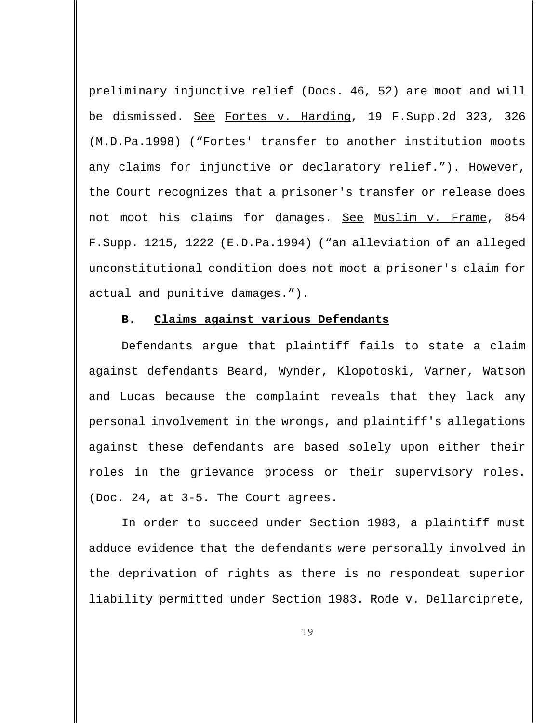preliminary injunctive relief (Docs. 46, 52) are moot and will be dismissed. See Fortes v. Harding, 19 F.Supp.2d 323, 326 (M.D.Pa.1998) ("Fortes' transfer to another institution moots any claims for injunctive or declaratory relief."). However, the Court recognizes that a prisoner's transfer or release does not moot his claims for damages. See Muslim v. Frame, 854 F.Supp. 1215, 1222 (E.D.Pa.1994) ("an alleviation of an alleged unconstitutional condition does not moot a prisoner's claim for actual and punitive damages.").

### **B. Claims against various Defendants**

Defendants argue that plaintiff fails to state a claim against defendants Beard, Wynder, Klopotoski, Varner, Watson and Lucas because the complaint reveals that they lack any personal involvement in the wrongs, and plaintiff's allegations against these defendants are based solely upon either their roles in the grievance process or their supervisory roles. (Doc. 24, at 3-5. The Court agrees.

In order to succeed under Section 1983, a plaintiff must adduce evidence that the defendants were personally involved in the deprivation of rights as there is no respondeat superior liability permitted under Section 1983. Rode v. Dellarciprete,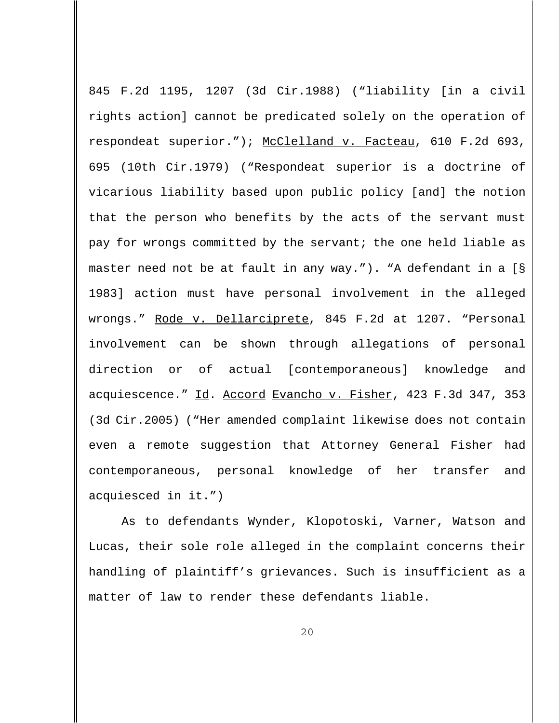845 F.2d 1195, 1207 (3d Cir.1988) ("liability [in a civil rights action] cannot be predicated solely on the operation of respondeat superior."); McClelland v. Facteau, 610 F.2d 693, 695 (10th Cir.1979) ("Respondeat superior is a doctrine of vicarious liability based upon public policy [and] the notion that the person who benefits by the acts of the servant must pay for wrongs committed by the servant; the one held liable as master need not be at fault in any way."). "A defendant in a [§ 1983] action must have personal involvement in the alleged wrongs." Rode v. Dellarciprete, 845 F.2d at 1207. "Personal involvement can be shown through allegations of personal direction or of actual [contemporaneous] knowledge and acquiescence." Id. Accord Evancho v. Fisher, 423 F.3d 347, 353 (3d Cir.2005) ("Her amended complaint likewise does not contain even a remote suggestion that Attorney General Fisher had contemporaneous, personal knowledge of her transfer and acquiesced in it.")

As to defendants Wynder, Klopotoski, Varner, Watson and Lucas, their sole role alleged in the complaint concerns their handling of plaintiff's grievances. Such is insufficient as a matter of law to render these defendants liable.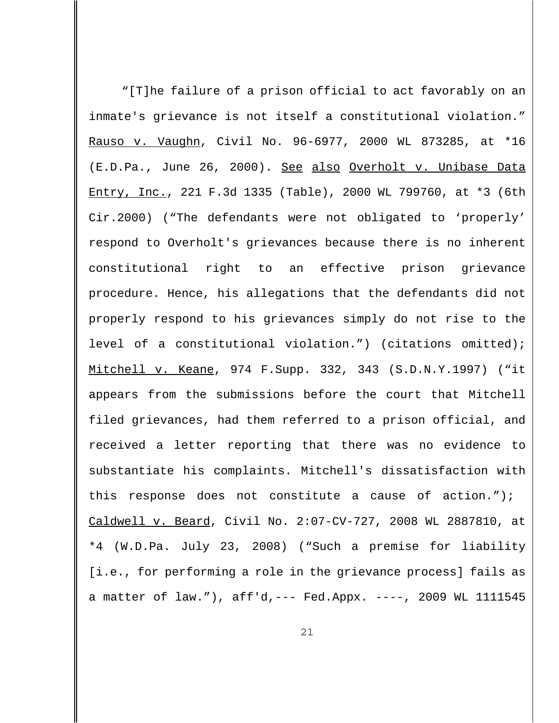"[T]he failure of a prison official to act favorably on an inmate's grievance is not itself a constitutional violation." Rauso v. Vaughn, Civil No. 96-6977, 2000 WL 873285, at \*16 (E.D.Pa., June 26, 2000). See also Overholt v. Unibase Data Entry, Inc., 221 F.3d 1335 (Table), 2000 WL 799760, at \*3 (6th Cir.2000) ("The defendants were not obligated to 'properly' respond to Overholt's grievances because there is no inherent constitutional right to an effective prison grievance procedure. Hence, his allegations that the defendants did not properly respond to his grievances simply do not rise to the level of a constitutional violation.") (citations omitted); Mitchell v. Keane, 974 F.Supp. 332, 343 (S.D.N.Y.1997) ("it appears from the submissions before the court that Mitchell filed grievances, had them referred to a prison official, and received a letter reporting that there was no evidence to substantiate his complaints. Mitchell's dissatisfaction with this response does not constitute a cause of action."); Caldwell v. Beard, Civil No. 2:07-CV-727, 2008 WL 2887810, at \*4 (W.D.Pa. July 23, 2008) ("Such a premise for liability [i.e., for performing a role in the grievance process] fails as a matter of law."), aff'd,--- Fed.Appx. ----, 2009 WL 1111545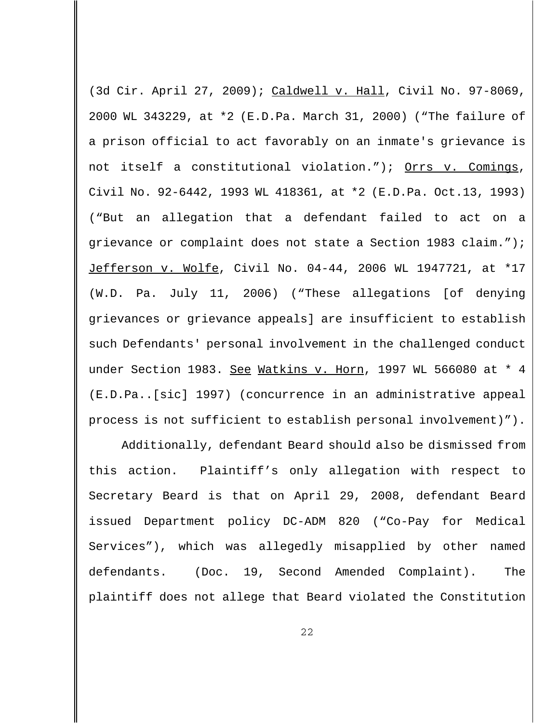(3d Cir. April 27, 2009); Caldwell v. Hall, Civil No. 97-8069, 2000 WL 343229, at \*2 (E.D.Pa. March 31, 2000) ("The failure of a prison official to act favorably on an inmate's grievance is not itself a constitutional violation."); Orrs v. Comings, Civil No. 92-6442, 1993 WL 418361, at \*2 (E.D.Pa. Oct.13, 1993) ("But an allegation that a defendant failed to act on a grievance or complaint does not state a Section 1983 claim."); Jefferson v. Wolfe, Civil No. 04-44, 2006 WL 1947721, at \*17 (W.D. Pa. July 11, 2006) ("These allegations [of denying grievances or grievance appeals] are insufficient to establish such Defendants' personal involvement in the challenged conduct under Section 1983. See Watkins v. Horn, 1997 WL 566080 at \* 4 (E.D.Pa..[sic] 1997) (concurrence in an administrative appeal process is not sufficient to establish personal involvement)").

Additionally, defendant Beard should also be dismissed from this action. Plaintiff's only allegation with respect to Secretary Beard is that on April 29, 2008, defendant Beard issued Department policy DC-ADM 820 ("Co-Pay for Medical Services"), which was allegedly misapplied by other named defendants. (Doc. 19, Second Amended Complaint). The plaintiff does not allege that Beard violated the Constitution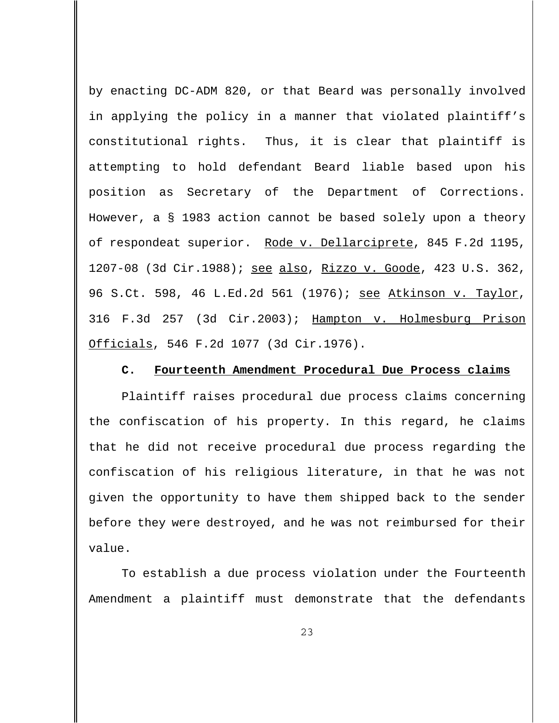by enacting DC-ADM 820, or that Beard was personally involved in applying the policy in a manner that violated plaintiff's constitutional rights. Thus, it is clear that plaintiff is attempting to hold defendant Beard liable based upon his position as Secretary of the Department of Corrections. However, a § 1983 action cannot be based solely upon a theory of respondeat superior. Rode v. Dellarciprete, 845 F.2d 1195, 1207-08 (3d Cir.1988); see also, Rizzo v. Goode, 423 U.S. 362, 96 S.Ct. 598, 46 L.Ed.2d 561 (1976); see Atkinson v. Taylor, 316 F.3d 257 (3d Cir.2003); Hampton v. Holmesburg Prison Officials, 546 F.2d 1077 (3d Cir.1976).

### **C. Fourteenth Amendment Procedural Due Process claims**

Plaintiff raises procedural due process claims concerning the confiscation of his property. In this regard, he claims that he did not receive procedural due process regarding the confiscation of his religious literature, in that he was not given the opportunity to have them shipped back to the sender before they were destroyed, and he was not reimbursed for their value.

To establish a due process violation under the Fourteenth Amendment a plaintiff must demonstrate that the defendants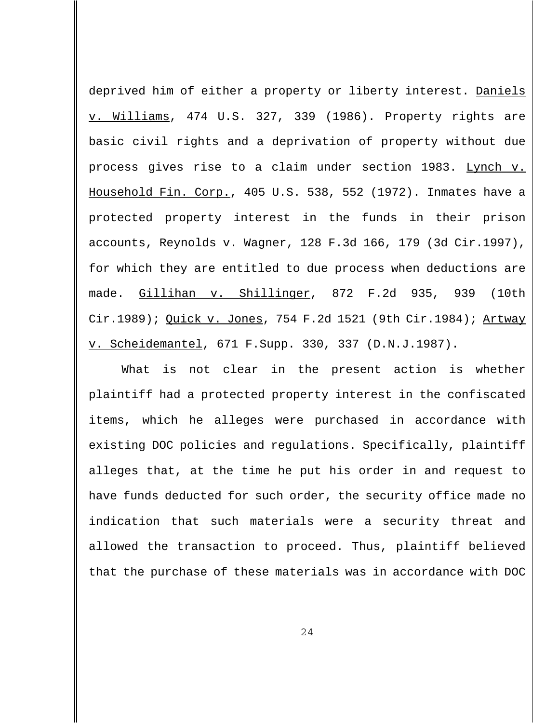deprived him of either a property or liberty interest. Daniels v. Williams, 474 U.S. 327, 339 (1986). Property rights are basic civil rights and a deprivation of property without due process gives rise to a claim under section 1983. Lynch v. Household Fin. Corp., 405 U.S. 538, 552 (1972). Inmates have a protected property interest in the funds in their prison accounts, Reynolds v. Wagner, 128 F.3d 166, 179 (3d Cir.1997), for which they are entitled to due process when deductions are made. Gillihan v. Shillinger, 872 F.2d 935, 939 (10th Cir.1989); Quick v. Jones, 754 F.2d 1521 (9th Cir.1984); Artway v. Scheidemantel, 671 F.Supp. 330, 337 (D.N.J.1987).

What is not clear in the present action is whether plaintiff had a protected property interest in the confiscated items, which he alleges were purchased in accordance with existing DOC policies and regulations. Specifically, plaintiff alleges that, at the time he put his order in and request to have funds deducted for such order, the security office made no indication that such materials were a security threat and allowed the transaction to proceed. Thus, plaintiff believed that the purchase of these materials was in accordance with DOC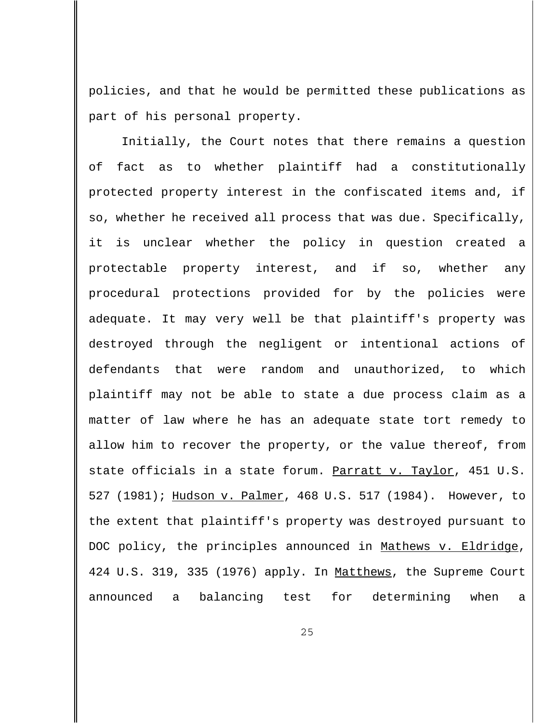policies, and that he would be permitted these publications as part of his personal property.

Initially, the Court notes that there remains a question of fact as to whether plaintiff had a constitutionally protected property interest in the confiscated items and, if so, whether he received all process that was due. Specifically, it is unclear whether the policy in question created a protectable property interest, and if so, whether any procedural protections provided for by the policies were adequate. It may very well be that plaintiff's property was destroyed through the negligent or intentional actions of defendants that were random and unauthorized, to which plaintiff may not be able to state a due process claim as a matter of law where he has an adequate state tort remedy to allow him to recover the property, or the value thereof, from state officials in a state forum. Parratt v. Taylor, 451 U.S. 527 (1981); Hudson v. Palmer, 468 U.S. 517 (1984). However, to the extent that plaintiff's property was destroyed pursuant to DOC policy, the principles announced in Mathews v. Eldridge, 424 U.S. 319, 335 (1976) apply. In Matthews, the Supreme Court announced a balancing test for determining when a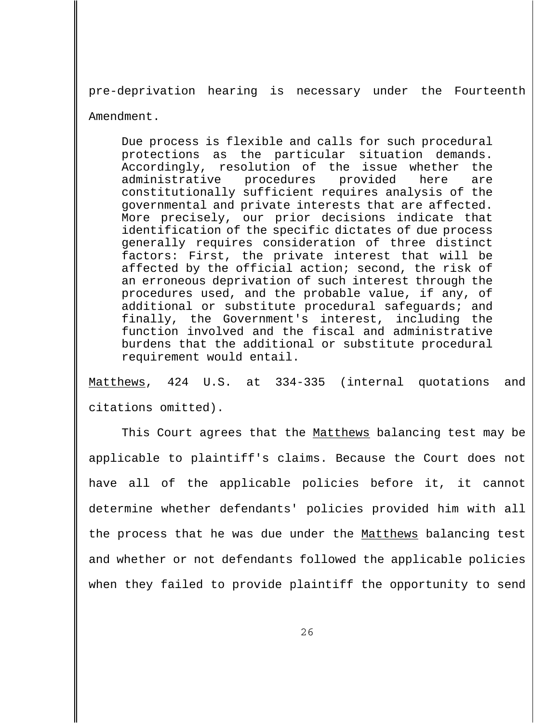pre-deprivation hearing is necessary under the Fourteenth Amendment.

Due process is flexible and calls for such procedural protections as the particular situation demands. Accordingly, resolution of the issue whether the administrative procedures provided here are constitutionally sufficient requires analysis of the governmental and private interests that are affected. More precisely, our prior decisions indicate that identification of the specific dictates of due process generally requires consideration of three distinct factors: First, the private interest that will be affected by the official action; second, the risk of an erroneous deprivation of such interest through the procedures used, and the probable value, if any, of additional or substitute procedural safeguards; and finally, the Government's interest, including the function involved and the fiscal and administrative burdens that the additional or substitute procedural requirement would entail.

Matthews, 424 U.S. at 334-335 (internal quotations and citations omitted).

This Court agrees that the Matthews balancing test may be applicable to plaintiff's claims. Because the Court does not have all of the applicable policies before it, it cannot determine whether defendants' policies provided him with all the process that he was due under the Matthews balancing test and whether or not defendants followed the applicable policies when they failed to provide plaintiff the opportunity to send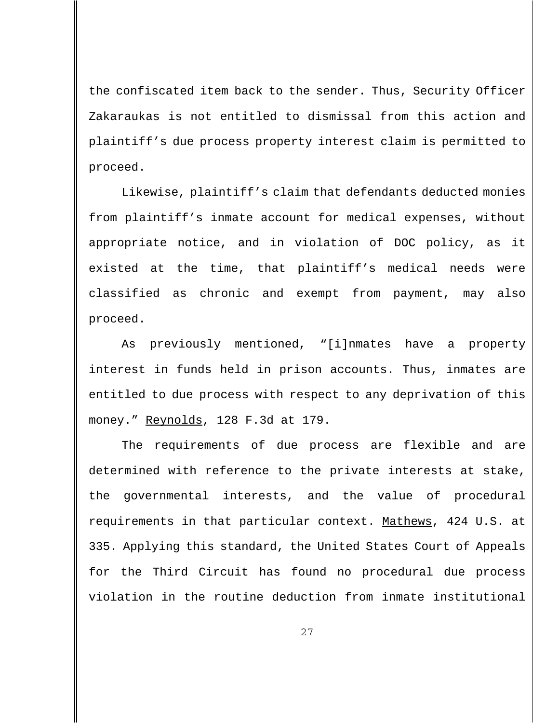the confiscated item back to the sender. Thus, Security Officer Zakaraukas is not entitled to dismissal from this action and plaintiff's due process property interest claim is permitted to proceed.

Likewise, plaintiff's claim that defendants deducted monies from plaintiff's inmate account for medical expenses, without appropriate notice, and in violation of DOC policy, as it existed at the time, that plaintiff's medical needs were classified as chronic and exempt from payment, may also proceed.

As previously mentioned, "[i]nmates have a property interest in funds held in prison accounts. Thus, inmates are entitled to due process with respect to any deprivation of this money." Reynolds, 128 F.3d at 179.

The requirements of due process are flexible and are determined with reference to the private interests at stake, the governmental interests, and the value of procedural requirements in that particular context. Mathews, 424 U.S. at 335. Applying this standard, the United States Court of Appeals for the Third Circuit has found no procedural due process violation in the routine deduction from inmate institutional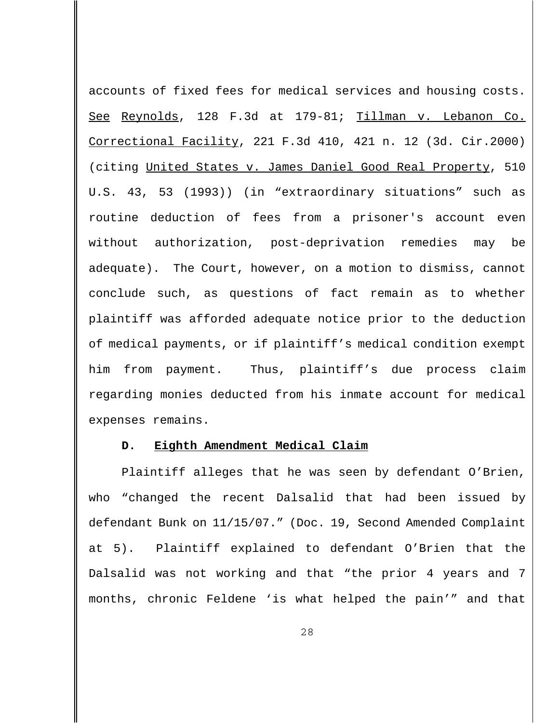accounts of fixed fees for medical services and housing costs. See Reynolds, 128 F.3d at 179-81; Tillman v. Lebanon Co. Correctional Facility, 221 F.3d 410, 421 n. 12 (3d. Cir.2000) (citing United States v. James Daniel Good Real Property, 510 U.S. 43, 53 (1993)) (in "extraordinary situations" such as routine deduction of fees from a prisoner's account even without authorization, post-deprivation remedies may be adequate). The Court, however, on a motion to dismiss, cannot conclude such, as questions of fact remain as to whether plaintiff was afforded adequate notice prior to the deduction of medical payments, or if plaintiff's medical condition exempt him from payment. Thus, plaintiff's due process claim regarding monies deducted from his inmate account for medical expenses remains.

#### **D. Eighth Amendment Medical Claim**

Plaintiff alleges that he was seen by defendant O'Brien, who "changed the recent Dalsalid that had been issued by defendant Bunk on 11/15/07." (Doc. 19, Second Amended Complaint at 5). Plaintiff explained to defendant O'Brien that the Dalsalid was not working and that "the prior 4 years and 7 months, chronic Feldene 'is what helped the pain'" and that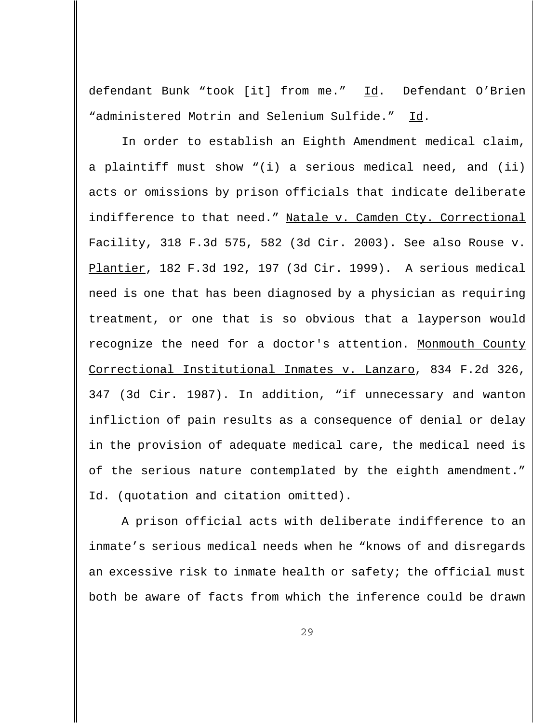defendant Bunk "took [it] from me." Id. Defendant O'Brien "administered Motrin and Selenium Sulfide." Id.

In order to establish an Eighth Amendment medical claim, a plaintiff must show "(i) a serious medical need, and (ii) acts or omissions by prison officials that indicate deliberate indifference to that need." Natale v. Camden Cty. Correctional Facility, 318 F.3d 575, 582 (3d Cir. 2003). See also Rouse v. Plantier, 182 F.3d 192, 197 (3d Cir. 1999). A serious medical need is one that has been diagnosed by a physician as requiring treatment, or one that is so obvious that a layperson would recognize the need for a doctor's attention. Monmouth County Correctional Institutional Inmates v. Lanzaro, 834 F.2d 326, 347 (3d Cir. 1987). In addition, "if unnecessary and wanton infliction of pain results as a consequence of denial or delay in the provision of adequate medical care, the medical need is of the serious nature contemplated by the eighth amendment." Id. (quotation and citation omitted).

A prison official acts with deliberate indifference to an inmate's serious medical needs when he "knows of and disregards an excessive risk to inmate health or safety; the official must both be aware of facts from which the inference could be drawn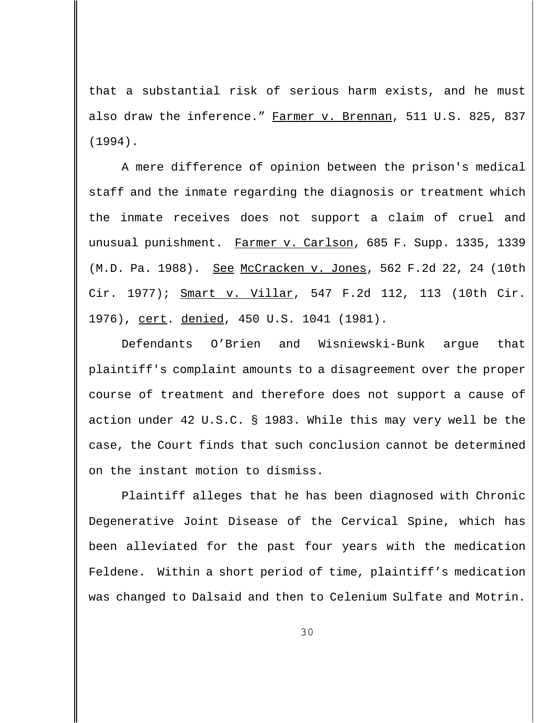that a substantial risk of serious harm exists, and he must also draw the inference." Farmer v. Brennan, 511 U.S. 825, 837 (1994).

A mere difference of opinion between the prison's medical staff and the inmate regarding the diagnosis or treatment which the inmate receives does not support a claim of cruel and unusual punishment. Farmer v. Carlson, 685 F. Supp. 1335, 1339 (M.D. Pa. 1988). See McCracken v. Jones, 562 F.2d 22, 24 (10th Cir. 1977); Smart v. Villar, 547 F.2d 112, 113 (10th Cir. 1976), cert. denied, 450 U.S. 1041 (1981).

Defendants O'Brien and Wisniewski-Bunk argue that plaintiff's complaint amounts to a disagreement over the proper course of treatment and therefore does not support a cause of action under 42 U.S.C. § 1983. While this may very well be the case, the Court finds that such conclusion cannot be determined on the instant motion to dismiss.

Plaintiff alleges that he has been diagnosed with Chronic Degenerative Joint Disease of the Cervical Spine, which has been alleviated for the past four years with the medication Feldene. Within a short period of time, plaintiff's medication was changed to Dalsaid and then to Celenium Sulfate and Motrin.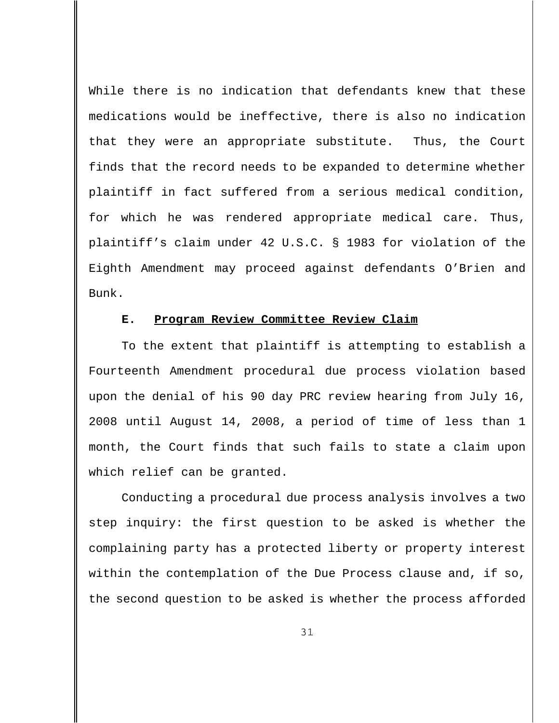While there is no indication that defendants knew that these medications would be ineffective, there is also no indication that they were an appropriate substitute. Thus, the Court finds that the record needs to be expanded to determine whether plaintiff in fact suffered from a serious medical condition, for which he was rendered appropriate medical care. Thus, plaintiff's claim under 42 U.S.C. § 1983 for violation of the Eighth Amendment may proceed against defendants O'Brien and Bunk.

### **E. Program Review Committee Review Claim**

To the extent that plaintiff is attempting to establish a Fourteenth Amendment procedural due process violation based upon the denial of his 90 day PRC review hearing from July 16, 2008 until August 14, 2008, a period of time of less than 1 month, the Court finds that such fails to state a claim upon which relief can be granted.

Conducting a procedural due process analysis involves a two step inquiry: the first question to be asked is whether the complaining party has a protected liberty or property interest within the contemplation of the Due Process clause and, if so, the second question to be asked is whether the process afforded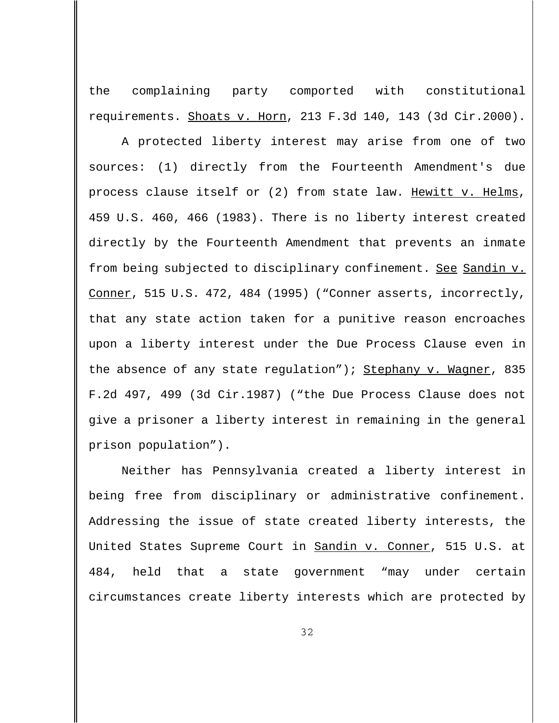the complaining party comported with constitutional requirements. Shoats v. Horn, 213 F.3d 140, 143 (3d Cir.2000).

A protected liberty interest may arise from one of two sources: (1) directly from the Fourteenth Amendment's due process clause itself or (2) from state law. Hewitt v. Helms, 459 U.S. 460, 466 (1983). There is no liberty interest created directly by the Fourteenth Amendment that prevents an inmate from being subjected to disciplinary confinement. See Sandin v. Conner, 515 U.S. 472, 484 (1995) ("Conner asserts, incorrectly, that any state action taken for a punitive reason encroaches upon a liberty interest under the Due Process Clause even in the absence of any state regulation"); Stephany v. Wagner, 835 F.2d 497, 499 (3d Cir.1987) ("the Due Process Clause does not give a prisoner a liberty interest in remaining in the general prison population").

Neither has Pennsylvania created a liberty interest in being free from disciplinary or administrative confinement. Addressing the issue of state created liberty interests, the United States Supreme Court in Sandin v. Conner, 515 U.S. at 484, held that a state government "may under certain circumstances create liberty interests which are protected by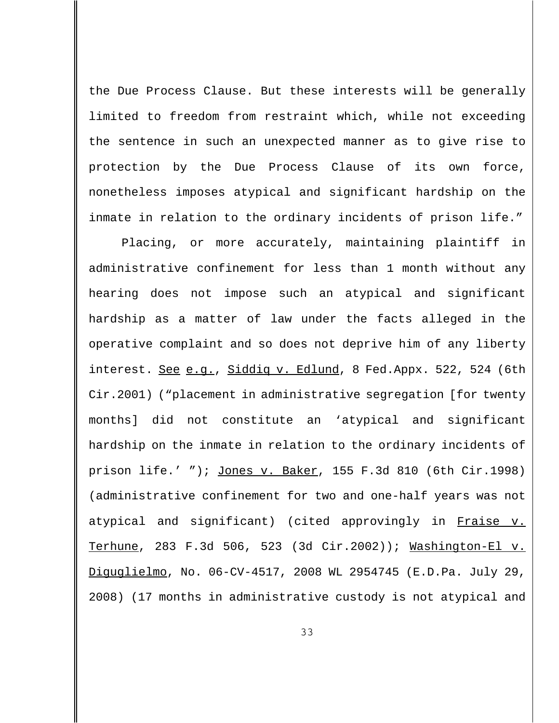the Due Process Clause. But these interests will be generally limited to freedom from restraint which, while not exceeding the sentence in such an unexpected manner as to give rise to protection by the Due Process Clause of its own force, nonetheless imposes atypical and significant hardship on the inmate in relation to the ordinary incidents of prison life."

Placing, or more accurately, maintaining plaintiff in administrative confinement for less than 1 month without any hearing does not impose such an atypical and significant hardship as a matter of law under the facts alleged in the operative complaint and so does not deprive him of any liberty interest. See e.g., Siddiq v. Edlund, 8 Fed.Appx. 522, 524 (6th Cir.2001) ("placement in administrative segregation [for twenty months] did not constitute an 'atypical and significant hardship on the inmate in relation to the ordinary incidents of prison life.' "); Jones v. Baker, 155 F.3d 810 (6th Cir.1998) (administrative confinement for two and one-half years was not atypical and significant) (cited approvingly in Fraise v. Terhune, 283 F.3d 506, 523 (3d Cir.2002)); Washington-El v. Diguglielmo, No. 06-CV-4517, 2008 WL 2954745 (E.D.Pa. July 29, 2008) (17 months in administrative custody is not atypical and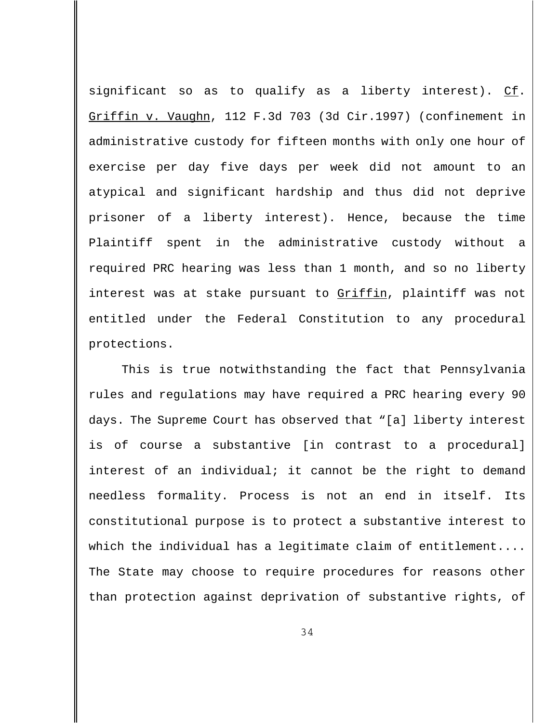significant so as to qualify as a liberty interest). Cf. Griffin v. Vaughn, 112 F.3d 703 (3d Cir.1997) (confinement in administrative custody for fifteen months with only one hour of exercise per day five days per week did not amount to an atypical and significant hardship and thus did not deprive prisoner of a liberty interest). Hence, because the time Plaintiff spent in the administrative custody without a required PRC hearing was less than 1 month, and so no liberty interest was at stake pursuant to Griffin, plaintiff was not entitled under the Federal Constitution to any procedural protections.

This is true notwithstanding the fact that Pennsylvania rules and regulations may have required a PRC hearing every 90 days. The Supreme Court has observed that "[a] liberty interest is of course a substantive [in contrast to a procedural] interest of an individual; it cannot be the right to demand needless formality. Process is not an end in itself. Its constitutional purpose is to protect a substantive interest to which the individual has a legitimate claim of entitlement.... The State may choose to require procedures for reasons other than protection against deprivation of substantive rights, of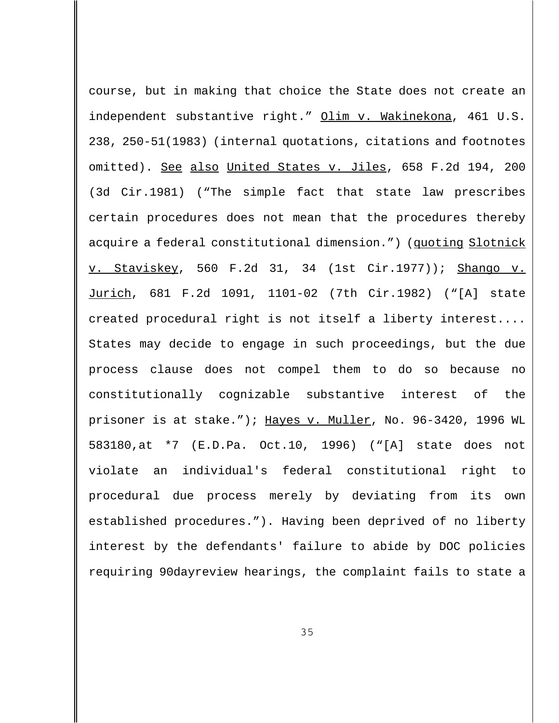course, but in making that choice the State does not create an independent substantive right." Olim v. Wakinekona, 461 U.S. 238, 250-51(1983) (internal quotations, citations and footnotes omitted). See also United States v. Jiles, 658 F.2d 194, 200 (3d Cir.1981) ("The simple fact that state law prescribes certain procedures does not mean that the procedures thereby acquire a federal constitutional dimension.") (quoting Slotnick v. Staviskey, 560 F.2d 31, 34 (1st Cir.1977)); Shango v. Jurich, 681 F.2d 1091, 1101-02 (7th Cir.1982) ("[A] state created procedural right is not itself a liberty interest.... States may decide to engage in such proceedings, but the due process clause does not compel them to do so because no constitutionally cognizable substantive interest of the prisoner is at stake."); Hayes v. Muller, No. 96-3420, 1996 WL 583180,at \*7 (E.D.Pa. Oct.10, 1996) ("[A] state does not violate an individual's federal constitutional right to procedural due process merely by deviating from its own established procedures."). Having been deprived of no liberty interest by the defendants' failure to abide by DOC policies requiring 90dayreview hearings, the complaint fails to state a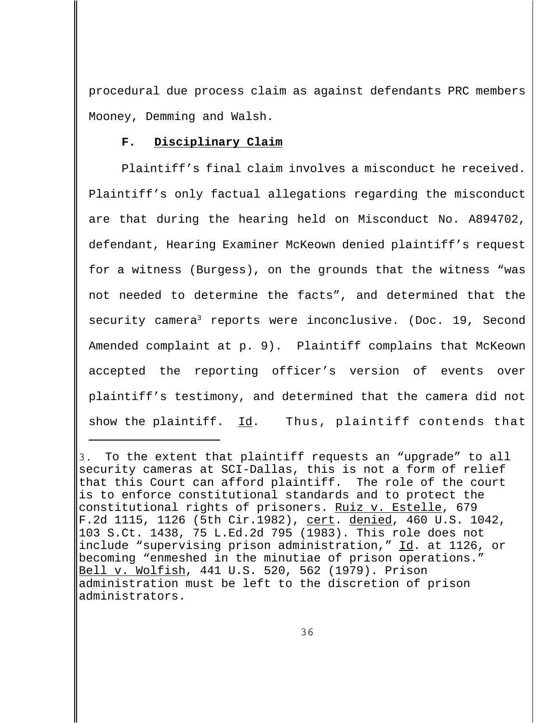procedural due process claim as against defendants PRC members Mooney, Demming and Walsh.

### **F. Disciplinary Claim**

Plaintiff's final claim involves a misconduct he received. Plaintiff's only factual allegations regarding the misconduct are that during the hearing held on Misconduct No. A894702, defendant, Hearing Examiner McKeown denied plaintiff's request for a witness (Burgess), on the grounds that the witness "was not needed to determine the facts", and determined that the security camera<sup>3</sup> reports were inconclusive. (Doc. 19, Second Amended complaint at p. 9). Plaintiff complains that McKeown accepted the reporting officer's version of events over plaintiff's testimony, and determined that the camera did not show the plaintiff. Id. Thus, plaintiff contends that

<sup>3.</sup> To the extent that plaintiff requests an "upgrade" to all security cameras at SCI-Dallas, this is not a form of relief that this Court can afford plaintiff. The role of the court is to enforce constitutional standards and to protect the constitutional rights of prisoners. Ruiz v. Estelle, 679 F.2d 1115, 1126 (5th Cir.1982), cert. denied, 460 U.S. 1042, 103 S.Ct. 1438, 75 L.Ed.2d 795 (1983). This role does not include "supervising prison administration," Id. at 1126, or becoming "enmeshed in the minutiae of prison operations." Bell v. Wolfish, 441 U.S. 520, 562 (1979). Prison administration must be left to the discretion of prison administrators.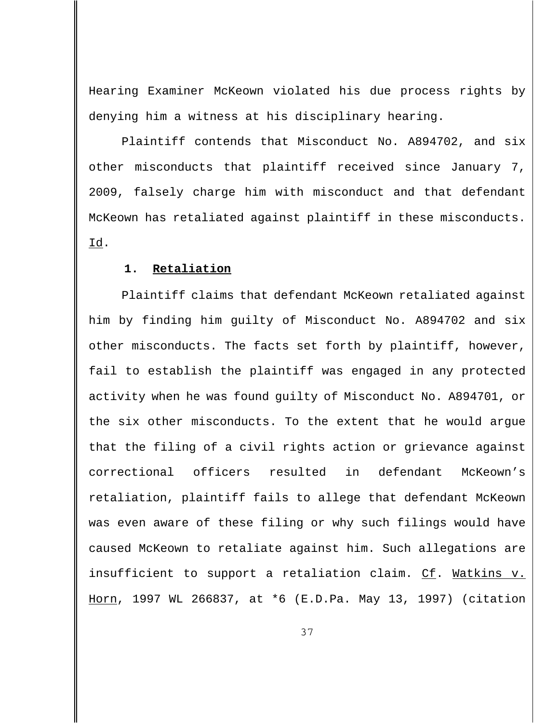Hearing Examiner McKeown violated his due process rights by denying him a witness at his disciplinary hearing.

Plaintiff contends that Misconduct No. A894702, and six other misconducts that plaintiff received since January 7, 2009, falsely charge him with misconduct and that defendant McKeown has retaliated against plaintiff in these misconducts. Id.

# **1. Retaliation**

Plaintiff claims that defendant McKeown retaliated against him by finding him guilty of Misconduct No. A894702 and six other misconducts. The facts set forth by plaintiff, however, fail to establish the plaintiff was engaged in any protected activity when he was found guilty of Misconduct No. A894701, or the six other misconducts. To the extent that he would argue that the filing of a civil rights action or grievance against correctional officers resulted in defendant McKeown's retaliation, plaintiff fails to allege that defendant McKeown was even aware of these filing or why such filings would have caused McKeown to retaliate against him. Such allegations are insufficient to support a retaliation claim. Cf. Watkins v. Horn, 1997 WL 266837, at \*6 (E.D.Pa. May 13, 1997) (citation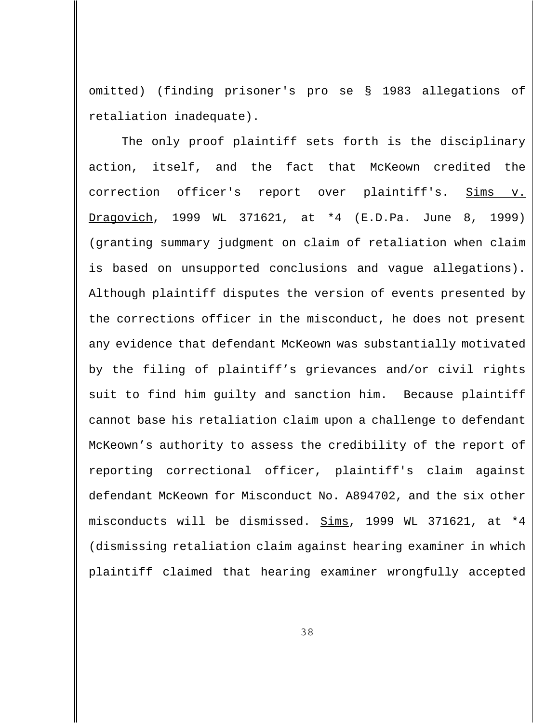omitted) (finding prisoner's pro se § 1983 allegations of retaliation inadequate).

The only proof plaintiff sets forth is the disciplinary action, itself, and the fact that McKeown credited the correction officer's report over plaintiff's. Sims v. Dragovich, 1999 WL 371621, at \*4 (E.D.Pa. June 8, 1999) (granting summary judgment on claim of retaliation when claim is based on unsupported conclusions and vague allegations). Although plaintiff disputes the version of events presented by the corrections officer in the misconduct, he does not present any evidence that defendant McKeown was substantially motivated by the filing of plaintiff's grievances and/or civil rights suit to find him guilty and sanction him. Because plaintiff cannot base his retaliation claim upon a challenge to defendant McKeown's authority to assess the credibility of the report of reporting correctional officer, plaintiff's claim against defendant McKeown for Misconduct No. A894702, and the six other misconducts will be dismissed. Sims, 1999 WL 371621, at \*4 (dismissing retaliation claim against hearing examiner in which plaintiff claimed that hearing examiner wrongfully accepted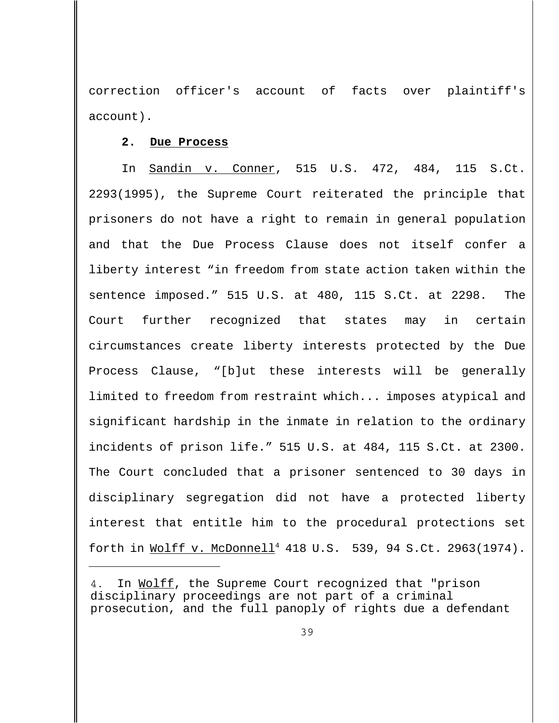correction officer's account of facts over plaintiff's account).

# **2. Due Process**

In Sandin v. Conner, 515 U.S. 472, 484, 115 S.Ct. 2293(1995), the Supreme Court reiterated the principle that prisoners do not have a right to remain in general population and that the Due Process Clause does not itself confer a liberty interest "in freedom from state action taken within the sentence imposed." 515 U.S. at 480, 115 S.Ct. at 2298. The Court further recognized that states may in certain circumstances create liberty interests protected by the Due Process Clause, "[b]ut these interests will be generally limited to freedom from restraint which... imposes atypical and significant hardship in the inmate in relation to the ordinary incidents of prison life." 515 U.S. at 484, 115 S.Ct. at 2300. The Court concluded that a prisoner sentenced to 30 days in disciplinary segregation did not have a protected liberty interest that entitle him to the procedural protections set forth in Wolff v. McDonnell<sup>4</sup> 418 U.S. 539, 94 S.Ct. 2963(1974).

<sup>4.</sup> In Wolff, the Supreme Court recognized that "prison disciplinary proceedings are not part of a criminal prosecution, and the full panoply of rights due a defendant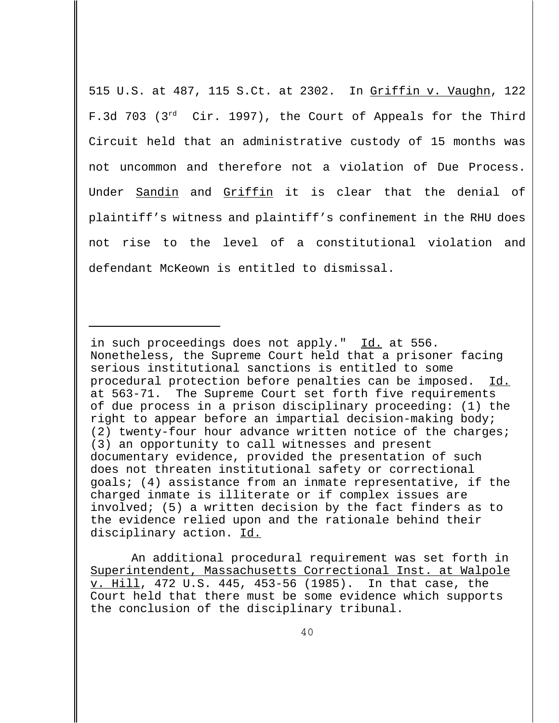515 U.S. at 487, 115 S.Ct. at 2302. In Griffin v. Vaughn, 122 F.3d 703 (3<sup>rd</sup> Cir. 1997), the Court of Appeals for the Third Circuit held that an administrative custody of 15 months was not uncommon and therefore not a violation of Due Process. Under Sandin and Griffin it is clear that the denial of plaintiff's witness and plaintiff's confinement in the RHU does not rise to the level of a constitutional violation and defendant McKeown is entitled to dismissal.

in such proceedings does not apply." Id. at 556. Nonetheless, the Supreme Court held that a prisoner facing serious institutional sanctions is entitled to some procedural protection before penalties can be imposed. Id. at 563-71. The Supreme Court set forth five requirements of due process in a prison disciplinary proceeding: (1) the right to appear before an impartial decision-making body; (2) twenty-four hour advance written notice of the charges; (3) an opportunity to call witnesses and present documentary evidence, provided the presentation of such does not threaten institutional safety or correctional goals; (4) assistance from an inmate representative, if the charged inmate is illiterate or if complex issues are involved; (5) a written decision by the fact finders as to the evidence relied upon and the rationale behind their disciplinary action. Id.

An additional procedural requirement was set forth in Superintendent, Massachusetts Correctional Inst. at Walpole v. Hill, 472 U.S. 445, 453-56 (1985). In that case, the Court held that there must be some evidence which supports the conclusion of the disciplinary tribunal.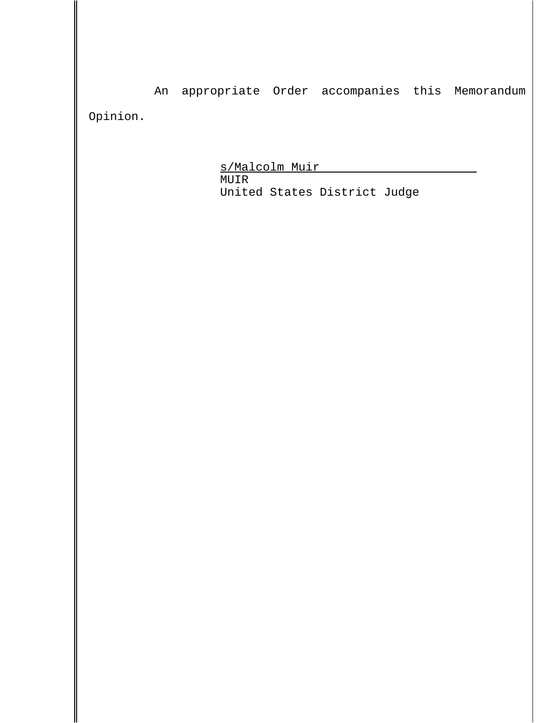An appropriate Order accompanies this Memorandum Opinion.

> s/Malcolm Muir MUIR United States District Judge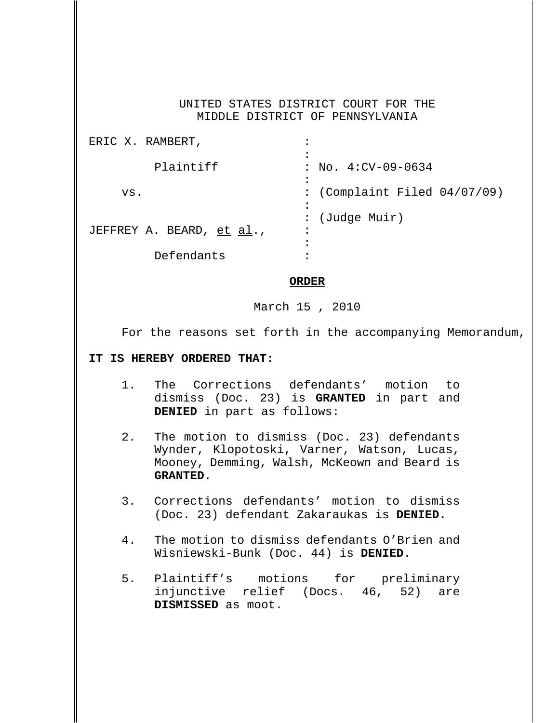### UNITED STATES DISTRICT COURT FOR THE MIDDLE DISTRICT OF PENNSYLVANIA

| ERIC X. RAMBERT,          |                                 |
|---------------------------|---------------------------------|
|                           |                                 |
| Plaintiff                 | $: No. 4:CV-09-0634$            |
|                           |                                 |
| VS.                       | : (Complaint Filed $04/07/09$ ) |
|                           |                                 |
|                           | (Judge Muir)                    |
| JEFFREY A. BEARD, et al., | $\bullet$                       |
|                           |                                 |
| Defendants                |                                 |

#### **ORDER**

March 15 , 2010

For the reasons set forth in the accompanying Memorandum,

## **IT IS HEREBY ORDERED THAT:**

- 1. The Corrections defendants' motion to dismiss (Doc. 23) is **GRANTED** in part and **DENIED** in part as follows:
- 2. The motion to dismiss (Doc. 23) defendants Wynder, Klopotoski, Varner, Watson, Lucas, Mooney, Demming, Walsh, McKeown and Beard is **GRANTED**.
- 3. Corrections defendants' motion to dismiss (Doc. 23) defendant Zakaraukas is **DENIED.**
- 4. The motion to dismiss defendants O'Brien and Wisniewski-Bunk (Doc. 44) is **DENIED**.
- 5. Plaintiff's motions for preliminary injunctive relief (Docs. 46, 52) are **DISMISSED** as moot.